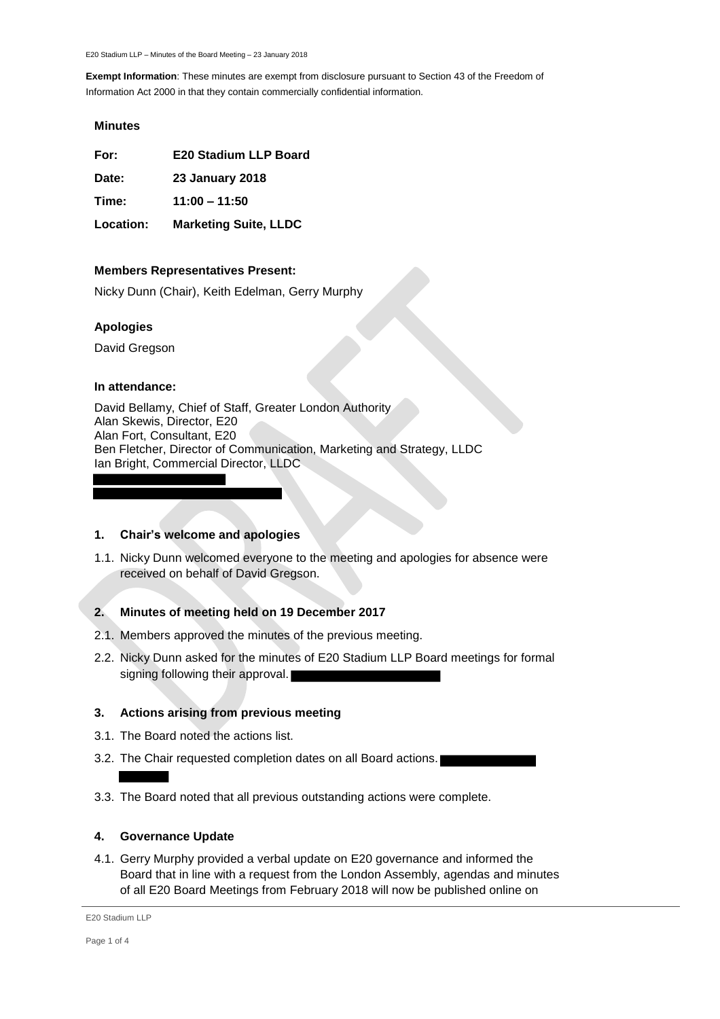#### **Minutes**

**For: E20 Stadium LLP Board**

**Date: 23 January 2018**

**Time: 11:00 – 11:50**

**Location: Marketing Suite, LLDC**

#### **Members Representatives Present:**

Nicky Dunn (Chair), Keith Edelman, Gerry Murphy

### **Apologies**

David Gregson

#### **In attendance:**

David Bellamy, Chief of Staff, Greater London Authority Alan Skewis, Director, E20 Alan Fort, Consultant, E20 Ben Fletcher, Director of Communication, Marketing and Strategy, LLDC Ian Bright, Commercial Director, LLDC

#### **1. Chair's welcome and apologies**

1.1. Nicky Dunn welcomed everyone to the meeting and apologies for absence were received on behalf of David Gregson.

## **2. Minutes of meeting held on 19 December 2017**

- 2.1. Members approved the minutes of the previous meeting.
- 2.2. Nicky Dunn asked for the minutes of E20 Stadium LLP Board meetings for formal signing following their approval.

## **3. Actions arising from previous meeting**

- 3.1. The Board noted the actions list.
- 3.2. The Chair requested completion dates on all Board actions.
- 3.3. The Board noted that all previous outstanding actions were complete.

## **4. Governance Update**

4.1. Gerry Murphy provided a verbal update on E20 governance and informed the Board that in line with a request from the London Assembly, agendas and minutes of all E20 Board Meetings from February 2018 will now be published online on

```
E20 Stadium LLP
```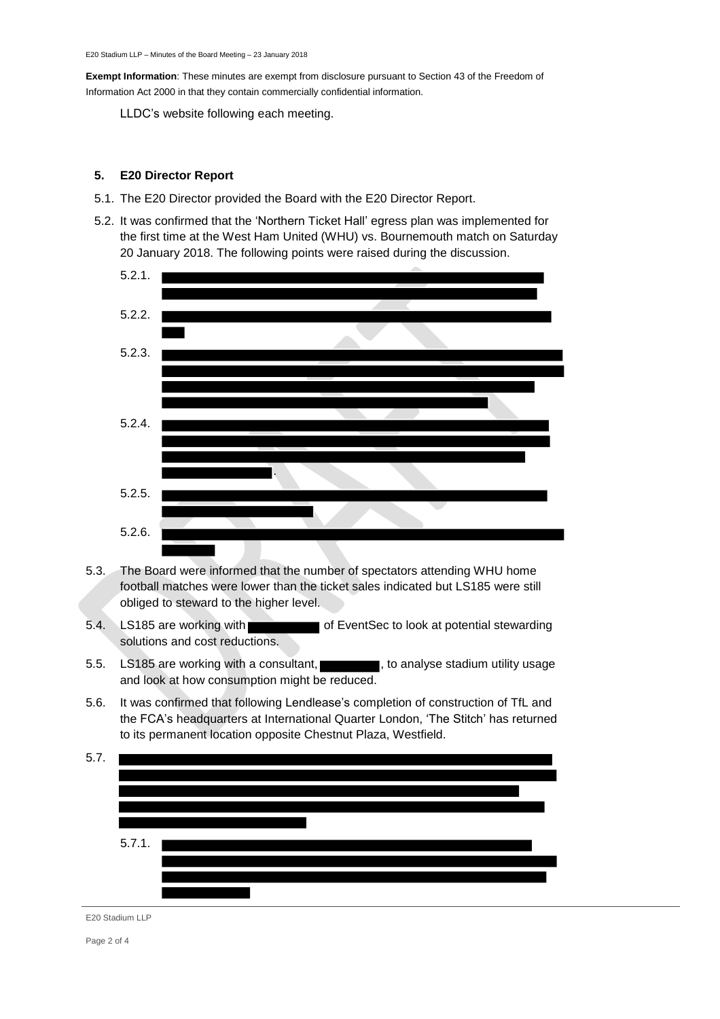LLDC's website following each meeting.

## **5. E20 Director Report**

- 5.1. The E20 Director provided the Board with the E20 Director Report.
- 5.2. It was confirmed that the 'Northern Ticket Hall' egress plan was implemented for the first time at the West Ham United (WHU) vs. Bournemouth match on Saturday 20 January 2018. The following points were raised during the discussion.



- 5.3. The Board were informed that the number of spectators attending WHU home football matches were lower than the ticket sales indicated but LS185 were still obliged to steward to the higher level.
- 5.4. LS185 are working with of EventSec to look at potential stewarding solutions and cost reductions.
- 5.5. LS185 are working with a consultant, **the consultant and intervally states**, to analyse stadium utility usage and look at how consumption might be reduced.
- 5.6. It was confirmed that following Lendlease's completion of construction of TfL and the FCA's headquarters at International Quarter London, 'The Stitch' has returned to its permanent location opposite Chestnut Plaza, Westfield.



E20 Stadium LLP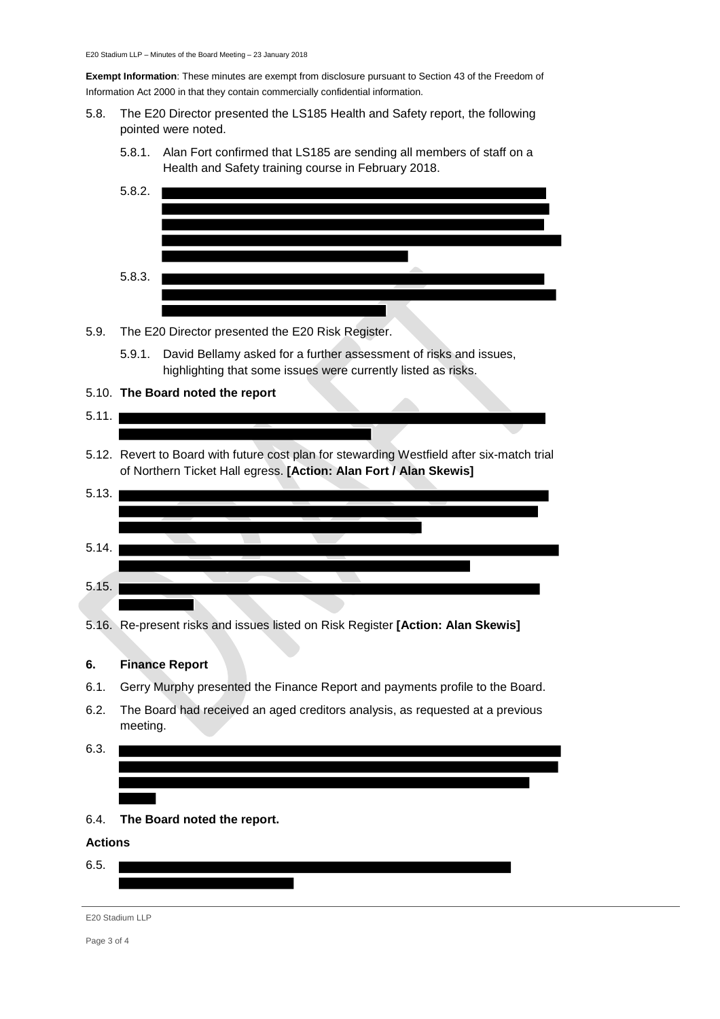- 5.8. The E20 Director presented the LS185 Health and Safety report, the following pointed were noted.
	- 5.8.1. Alan Fort confirmed that LS185 are sending all members of staff on a Health and Safety training course in February 2018.



- 5.9. The E20 Director presented the E20 Risk Register.
	- 5.9.1. David Bellamy asked for a further assessment of risks and issues, highlighting that some issues were currently listed as risks.

#### 5.10. **The Board noted the report**

# $5.11.$

5.12. Revert to Board with future cost plan for stewarding Westfield after six-match trial of Northern Ticket Hall egress. **[Action: Alan Fort / Alan Skewis]**



5.16. Re-present risks and issues listed on Risk Register **[Action: Alan Skewis]**

#### **6. Finance Report**

- 6.1. Gerry Murphy presented the Finance Report and payments profile to the Board.
- 6.2. The Board had received an aged creditors analysis, as requested at a previous meeting.
- 6.3.
- 6.4. **The Board noted the report.**

## **Actions**

6.5.

```
E20 Stadium LLP
```